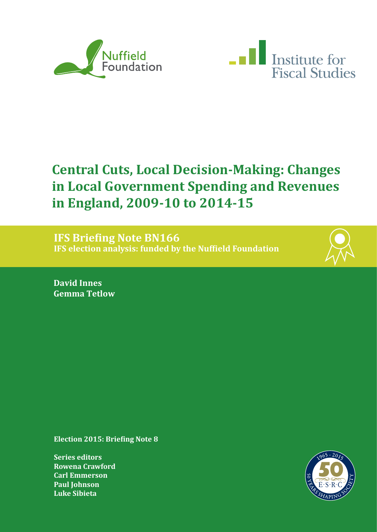



# **Central Cuts, Local Decision-Making: Changes in Local Government Spending and Revenues in England, 2009-10 to 2014-15**

**IFS Briefing Note BN166 IFS election analysis: funded by the Nuffield Foundation**



**David Innes Gemma Tetlow**

**Election 2015: Briefing Note 8**

**Series editors Rowena Crawford Carl Emmerson Paul Johnson Luke Sibieta**

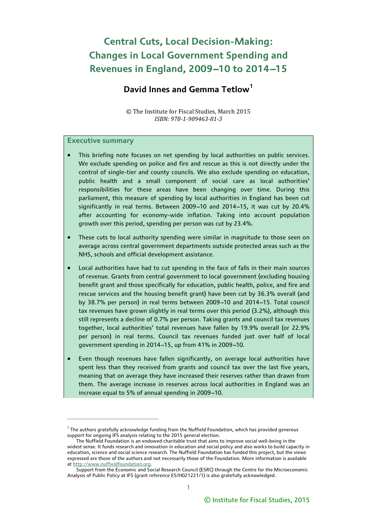## **Central Cuts, Local Decision-Making: Changes in Local Government Spending and Revenues in England, 2009-10 to 2014-15**

## **David Innes and Gemma Tetlow[1](#page-1-0)**

© The Institute for Fiscal Studies, March 2015 *ISBN: 978-1-909463-81-3* 

### **Executive summary**

- This briefing note focuses on net spending by local authorities on public services. We exclude spending on police and fire and rescue as this is not directly under the control of single-tier and county councils. We also exclude spending on education, public health and a small component of social care as local authorities' responsibilities for these areas have been changing over time. During this parliament, this measure of spending by local authorities in England has been cut significantly in real terms. Between 2009-10 and 2014-15, it was cut by 20.4% after accounting for economy-wide inflation. Taking into account population growth over this period, spending per person was cut by 23.4%.
- These cuts to local authority spending were similar in magnitude to those seen on average across central government departments outside protected areas such as the NHS, schools and official development assistance.
- Local authorities have had to cut spending in the face of falls in their main sources of revenue. Grants from central government to local government (excluding housing benefit grant and those specifically for education, public health, police, and fire and rescue services and the housing benefit grant) have been cut by 36.3% overall (and by 38.7% per person) in real terms between 2009-10 and 2014-15. Total council tax revenues have grown slightly in real terms over this period (3.2%), although this still represents a decline of 0.7% per person. Taking grants and council tax revenues together, local authorities' total revenues have fallen by 19.9% overall (or 22.9% per person) in real terms. Council tax revenues funded just over half of local government spending in 2014-15, up from 41% in 2009-10.
- Even though revenues have fallen significantly, on average local authorities have spent less than they received from grants and council tax over the last five years, meaning that on average they have increased their reserves rather than drawn from them. The average increase in reserves across local authorities in England was an increase equal to 5% of annual spending in 2009-10.

<span id="page-1-0"></span> $^{\rm 1}$  The authors gratefully acknowledge funding from the Nuffield Foundation, which has provided generous support for ongoing IFS analysis relating to the 2015 general election.

The Nuffield Foundation is an endowed charitable trust that aims to improve social well-being in the widest sense. It funds research and innovation in education and social policy and also works to build capacity in education, science and social science research. The Nuffield Foundation has funded this project, but the views expressed are those of the authors and not necessarily those of the Foundation. More information is available a[t http://www.nuffieldfoundation.org.](http://www.nuffieldfoundation.org/)

Support from the Economic and Social Research Council (ESRC) through the Centre for the Microeconomic Analysis of Public Policy at IFS (grant reference ES/H021221/1) is also gratefully acknowledged.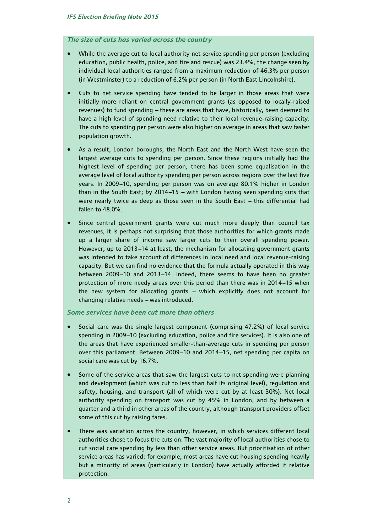### *The size of cuts has varied across the country*

- While the average cut to local authority net service spending per person (excluding education, public health, police, and fire and rescue) was 23.4%, the change seen by individual local authorities ranged from a maximum reduction of 46.3% per person (in Westminster) to a reduction of 6.2% per person (in North East Lincolnshire).
- Cuts to net service spending have tended to be larger in those areas that were initially more reliant on central government grants (as opposed to locally-raised revenues) to fund spending - these are areas that have, historically, been deemed to have a high level of spending need relative to their local revenue-raising capacity. The cuts to spending per person were also higher on average in areas that saw faster population growth.
- As a result, London boroughs, the North East and the North West have seen the largest average cuts to spending per person. Since these regions initially had the highest level of spending per person, there has been some equalisation in the average level of local authority spending per person across regions over the last five years. In 2009-10, spending per person was on average 80.1% higher in London than in the South East; by 2014-15 - with London having seen spending cuts that were nearly twice as deep as those seen in the South East  $-$  this differential had fallen to 48.0%.
- Since central government grants were cut much more deeply than council tax revenues, it is perhaps not surprising that those authorities for which grants made up a larger share of income saw larger cuts to their overall spending power. However, up to 2013-14 at least, the mechanism for allocating government grants was intended to take account of differences in local need and local revenue-raising capacity. But we can find no evidence that the formula actually operated in this way between 2009-10 and 2013-14. Indeed, there seems to have been no greater protection of more needy areas over this period than there was in 2014-15 when the new system for allocating grants - which explicitly does not account for changing relative needs - was introduced.

### *Some services have been cut more than others*

- Social care was the single largest component (comprising 47.2%) of local service spending in 2009-10 (excluding education, police and fire services). It is also one of the areas that have experienced smaller-than-average cuts in spending per person over this parliament. Between 2009-10 and 2014-15, net spending per capita on social care was cut by 16.7%.
- Some of the service areas that saw the largest cuts to net spending were planning and development (which was cut to less than half its original level), regulation and safety, housing, and transport (all of which were cut by at least 30%). Net local authority spending on transport was cut by 45% in London, and by between a quarter and a third in other areas of the country, although transport providers offset some of this cut by raising fares.
- There was variation across the country, however, in which services different local authorities chose to focus the cuts on. The vast majority of local authorities chose to cut social care spending by less than other service areas. But prioritisation of other service areas has varied: for example, most areas have cut housing spending heavily but a minority of areas (particularly in London) have actually afforded it relative protection.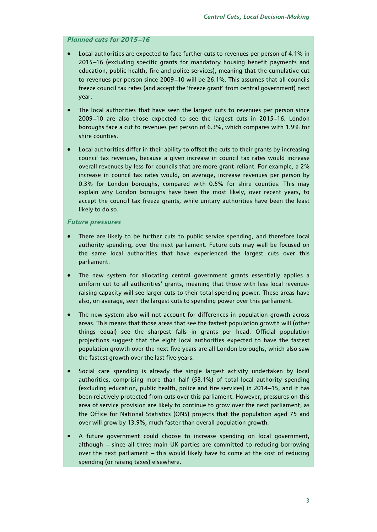### **Planned cuts for 2015-16**

- Local authorities are expected to face further cuts to revenues per person of 4.1% in 2015-16 (excluding specific grants for mandatory housing benefit payments and education, public health, fire and police services), meaning that the cumulative cut to revenues per person since 2009-10 will be 26.1%. This assumes that all councils freeze council tax rates (and accept the 'freeze grant' from central government) next year.
- The local authorities that have seen the largest cuts to revenues per person since  $2009-10$  are also those expected to see the largest cuts in  $2015-16$ . London boroughs face a cut to revenues per person of 6.3%, which compares with 1.9% for shire counties.
- Local authorities differ in their ability to offset the cuts to their grants by increasing council tax revenues, because a given increase in council tax rates would increase overall revenues by less for councils that are more grant-reliant. For example, a 2% increase in council tax rates would, on average, increase revenues per person by 0.3% for London boroughs, compared with 0.5% for shire counties. This may explain why London boroughs have been the most likely, over recent years, to accept the council tax freeze grants, while unitary authorities have been the least likely to do so.

### *Future pressures*

- There are likely to be further cuts to public service spending, and therefore local authority spending, over the next parliament. Future cuts may well be focused on the same local authorities that have experienced the largest cuts over this parliament.
- The new system for allocating central government grants essentially applies a uniform cut to all authorities' grants, meaning that those with less local revenueraising capacity will see larger cuts to their total spending power. These areas have also, on average, seen the largest cuts to spending power over this parliament.
- The new system also will not account for differences in population growth across areas. This means that those areas that see the fastest population growth will (other things equal) see the sharpest falls in grants per head. Official population projections suggest that the eight local authorities expected to have the fastest population growth over the next five years are all London boroughs, which also saw the fastest growth over the last five years.
- Social care spending is already the single largest activity undertaken by local authorities, comprising more than half (53.1%) of total local authority spending (excluding education, public health, police and fire services) in 2014-15, and it has been relatively protected from cuts over this parliament. However, pressures on this area of service provision are likely to continue to grow over the next parliament, as the Office for National Statistics (ONS) projects that the population aged 75 and over will grow by 13.9%, much faster than overall population growth.
- A future government could choose to increase spending on local government, although - since all three main UK parties are committed to reducing borrowing over the next parliament  $-$  this would likely have to come at the cost of reducing spending (or raising taxes) elsewhere.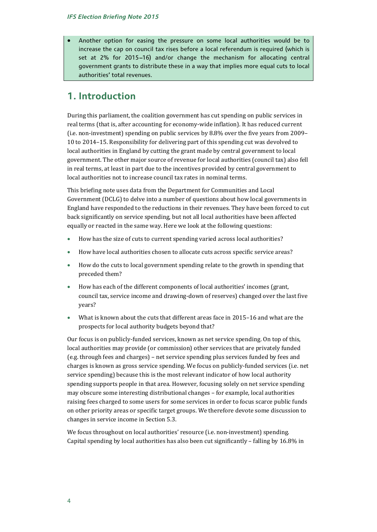• Another option for easing the pressure on some local authorities would be to increase the cap on council tax rises before a local referendum is required (which is set at  $2\%$  for  $2015-16$ ) and/or change the mechanism for allocating central government grants to distribute these in a way that implies more equal cuts to local authorities' total revenues.

## **1. Introduction**

During this parliament, the coalition government has cut spending on public services in real terms (that is, after accounting for economy-wide inflation). It has reduced current (i.e. non-investment) spending on public services by 8.8% over the five years from 2009– 10 to 2014–15. Responsibility for delivering part of this spending cut was devolved to local authorities in England by cutting the grant made by central government to local government. The other major source of revenue for local authorities (council tax) also fell in real terms, at least in part due to the incentives provided by central government to local authorities not to increase council tax rates in nominal terms.

This briefing note uses data from the Department for Communities and Local Government (DCLG) to delve into a number of questions about how local governments in England have responded to the reductions in their revenues. They have been forced to cut back significantly on service spending, but not all local authorities have been affected equally or reacted in the same way. Here we look at the following questions:

- How has the size of cuts to current spending varied across local authorities?
- How have local authorities chosen to allocate cuts across specific service areas?
- How do the cuts to local government spending relate to the growth in spending that preceded them?
- How has each of the different components of local authorities' incomes (grant, council tax, service income and drawing-down of reserves) changed over the last five years?
- What is known about the cuts that different areas face in 2015–16 and what are the prospects for local authority budgets beyond that?

Our focus is on publicly-funded services, known as net service spending. On top of this, local authorities may provide (or commission) other services that are privately funded (e.g. through fees and charges) – net service spending plus services funded by fees and charges is known as gross service spending. We focus on publicly-funded services (i.e. net service spending) because this is the most relevant indicator of how local authority spending supports people in that area. However, focusing solely on net service spending may obscure some interesting distributional changes – for example, local authorities raising fees charged to some users for some services in order to focus scarce public funds on other priority areas or specific target groups. We therefore devote some discussion to changes in service income in Section 5.3.

We focus throughout on local authorities' resource (i.e. non-investment) spending. Capital spending by local authorities has also been cut significantly – falling by 16.8% in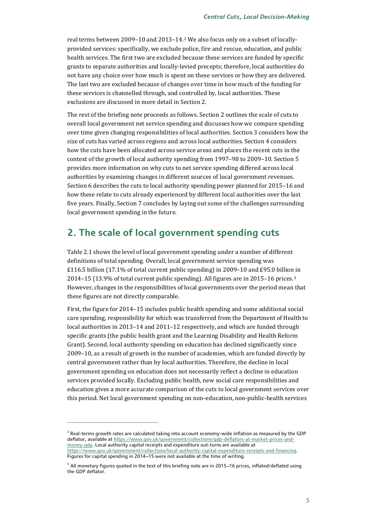real terms between 2009–10 and 2013–14.[2](#page-5-0) We also focus only on a subset of locallyprovided services: specifically, we exclude police, fire and rescue, education, and public health services. The first two are excluded because these services are funded by specific grants to separate authorities and locally-levied precepts; therefore, local authorities do not have any choice over how much is spent on these services or how they are delivered. The last two are excluded because of changes over time in how much of the funding for these services is channelled through, and controlled by, local authorities. These exclusions are discussed in more detail in Section 2.

The rest of the briefing note proceeds as follows. Section 2 outlines the scale of cuts to overall local government net service spending and discusses how we compare spending over time given changing responsibilities of local authorities. Section 3 considers how the size of cuts has varied across regions and across local authorities. Section 4 considers how the cuts have been allocated across service areas and places the recent cuts in the context of the growth of local authority spending from 1997–98 to 2009–10. Section 5 provides more information on why cuts to net service spending differed across local authorities by examining changes in different sources of local government revenues. Section 6 describes the cuts to local authority spending power planned for 2015–16 and how these relate to cuts already experienced by different local authorities over the last five years. Finally, Section 7 concludes by laying out some of the challenges surrounding local government spending in the future.

## **2. The scale of local government spending cuts**

Table 2.1 shows the level of local government spending under a number of different definitions of total spending. Overall, local government service spending was £116.5 billion (17.1% of total current public spending) in 2009–10 and £95.0 billion in 2014–15 (13.9% of total current public spending). All figures are in 2015–16 prices.[3](#page-5-1) However, changes in the responsibilities of local governments over the period mean that these figures are not directly comparable.

First, the figure for 2014–15 includes public health spending and some additional social care spending, responsibility for which was transferred from the Department of Health to local authorities in 2013–14 and 2011–12 respectively, and which are funded through specific grants (the public health grant and the Learning Disability and Health Reform Grant). Second, local authority spending on education has declined significantly since 2009–10, as a result of growth in the number of academies, which are funded directly by central government rather than by local authorities. Therefore, the decline in local government spending on education does not necessarily reflect a decline in education services provided locally. Excluding public health, new social care responsibilities and education gives a more accurate comparison of the cuts to local government services over this period. Net local government spending on non-education, non-public-health services

<span id="page-5-0"></span> $2$  Real-terms growth rates are calculated taking into account economy-wide inflation as measured by the GDP deflator, available a[t https://www.gov.uk/government/collections/gdp-deflators-at-market-prices-and](https://www.gov.uk/government/collections/gdp-deflators-at-market-prices-and-money-gdp)[money-gdp.](https://www.gov.uk/government/collections/gdp-deflators-at-market-prices-and-money-gdp) Local authority capital receipts and expenditure out-turns are available at [https://www.gov.uk/government/collections/local-authority-capital-expenditure-receipts-and-financing.](https://www.gov.uk/government/collections/local-authority-capital-expenditure-receipts-and-financing) Figures for capital spending in 2014-15 were not available at the time of writing.

<span id="page-5-1"></span><sup>&</sup>lt;sup>3</sup> All monetary figures quoted in the text of this briefing note are in 2015-16 prices, inflated/deflated using the GDP deflator.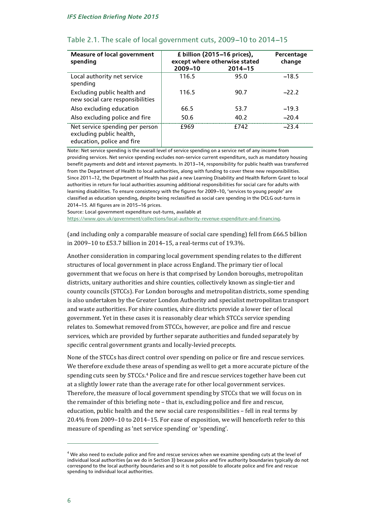| <b>Measure of local government</b><br>spending                                            | £ billion (2015–16 prices),<br>except where otherwise stated<br>2009-10 | Percentage<br>change |         |
|-------------------------------------------------------------------------------------------|-------------------------------------------------------------------------|----------------------|---------|
| Local authority net service<br>spending                                                   | 116.5                                                                   | 95.0                 | $-18.5$ |
| Excluding public health and<br>new social care responsibilities                           | 116.5                                                                   | 90.7                 | $-22.2$ |
| Also excluding education                                                                  | 66.5                                                                    | 53.7                 | $-19.3$ |
| Also excluding police and fire                                                            | 50.6                                                                    | 40.2                 | $-20.4$ |
| Net service spending per person<br>excluding public health,<br>education, police and fire | £969                                                                    | £742                 | $-23.4$ |

### Table 2.1. The scale of local government cuts, 2009-10 to 2014-15

Note: Net service spending is the overall level of service spending on a service net of any income from providing services. Net service spending excludes non-service current expenditure, such as mandatory housing benefit payments and debt and interest payments. In 2013-14, responsibility for public health was transferred from the Department of Health to local authorities, along with funding to cover these new responsibilities. Since 2011-12, the Department of Health has paid a new Learning Disability and Health Reform Grant to local authorities in return for local authorities assuming additional responsibilities for social care for adults with learning disabilities. To ensure consistency with the figures for 2009-10, 'services to young people' are classified as education spending, despite being reclassified as social care spending in the DCLG out-turns in 2014-15. All figures are in 2015-16 prices.

Source: Local government expenditure out-turns, available at

[https://www.gov.uk/government/collections/local-authority-revenue-expenditure-and-financing.](https://www.gov.uk/government/collections/local-authority-revenue-expenditure-and-financing)

(and including only a comparable measure of social care spending) fell from £66.5 billion in 2009–10 to £53.7 billion in 2014–15, a real-terms cut of 19.3%.

Another consideration in comparing local government spending relates to the different structures of local government in place across England. The primary tier of local government that we focus on here is that comprised by London boroughs, metropolitan districts, unitary authorities and shire counties, collectively known as single-tier and county councils (STCCs). For London boroughs and metropolitan districts, some spending is also undertaken by the Greater London Authority and specialist metropolitan transport and waste authorities. For shire counties, shire districts provide a lower tier of local government. Yet in these cases it is reasonably clear which STCCs service spending relates to. Somewhat removed from STCCs, however, are police and fire and rescue services, which are provided by further separate authorities and funded separately by specific central government grants and locally-levied precepts.

None of the STCCs has direct control over spending on police or fire and rescue services. We therefore exclude these a[re](#page-6-0)as of spending as well to get a more accurate picture of the spending cuts seen by STCCs.4 Police and fire and rescue services together have been cut at a slightly lower rate than the average rate for other local government services. Therefore, the measure of local government spending by STCCs that we will focus on in the remainder of this briefing note – that is, excluding police and fire and rescue, education, public health and the new social care responsibilities – fell in real terms by 20.4% from 2009–10 to 2014–15. For ease of exposition, we will henceforth refer to this measure of spending as 'net service spending' or 'spending'.

<span id="page-6-0"></span><sup>&</sup>lt;sup>4</sup> We also need to exclude police and fire and rescue services when we examine spending cuts at the level of individual local authorities (as we do in Section 3) because police and fire authority boundaries typically do not correspond to the local authority boundaries and so it is not possible to allocate police and fire and rescue spending to individual local authorities.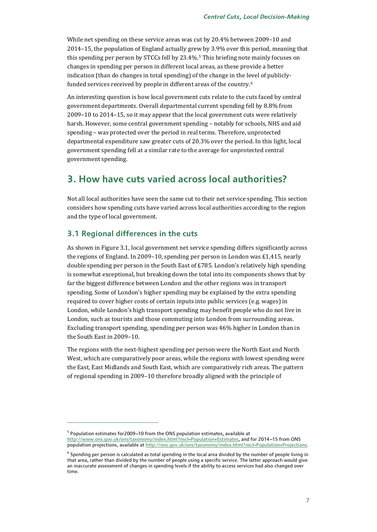While net spending on these service areas was cut by 20.4% between 2009–10 and 2014–15, the population of England actually grew by 3.9% over this period, meaning that this spending per person by STCCs fell by 23.4%.[5](#page-7-0) This briefing note mainly focuses on changes in spending per person in different local areas, as these provide a better indication (than do changes in total spending) of the change in the l[ev](#page-7-1)el of publiclyfunded services received by people in different areas of the country.6

An interesting question is how local government cuts relate to the cuts faced by central government departments. Overall departmental current spending fell by 8.8% from 2009–10 to 2014–15, so it may appear that the local government cuts were relatively harsh. However, some central government spending – notably for schools, NHS and aid spending – was protected over the period in real terms. Therefore, unprotected departmental expenditure saw greater cuts of 20.3% over the period. In this light, local government spending fell at a similar rate to the average for unprotected central government spending.

## **3. How have cuts varied across local authorities?**

Not all local authorities have seen the same cut to their net service spending. This section considers how spending cuts have varied across local authorities according to the region and the type of local government.

### **3.1 Regional differences in the cuts**

j

As shown in Figure 3.1, local government net service spending differs significantly across the regions of England. In 2009–10, spending per person in London was £1,415, nearly double spending per person in the South East of £785. London's relatively high spending is somewhat exceptional, but breaking down the total into its components shows that by far the biggest difference between London and the other regions was in transport spending. Some of London's higher spending may be explained by the extra spending required to cover higher costs of certain inputs into public services (e.g. wages) in London, while London's high transport spending may benefit people who do not live in London, such as tourists and those commuting into London from surrounding areas. Excluding transport spending, spending per person was 46% higher in London than in the South East in 2009–10.

The regions with the next-highest spending per person were the North East and North West, which are comparatively poor areas, while the regions with lowest spending were the East, East Midlands and South East, which are comparatively rich areas. The pattern of regional spending in 2009–10 therefore broadly aligned with the principle of

<span id="page-7-0"></span> $5$  Population estimates for 2009-10 from the ONS population estimates, available at [http://www.ons.gov.uk/ons/taxonomy/index.html?nscl=Population+Estimates,](http://www.ons.gov.uk/ons/taxonomy/index.html?nscl=Population+Estimates) and for 2014-15 from ONS population projections, available a[t http://ons.gov.uk/ons/taxonomy/index.html?nscl=Population+Projections.](http://ons.gov.uk/ons/taxonomy/index.html?nscl=Population+Projections)

<span id="page-7-1"></span> $6$  Spending per person is calculated as total spending in the local area divided by the number of people living in that area, rather than divided by the number of people using a specific service. The latter approach would give an inaccurate assessment of changes in spending levels if the ability to access services had also changed over time.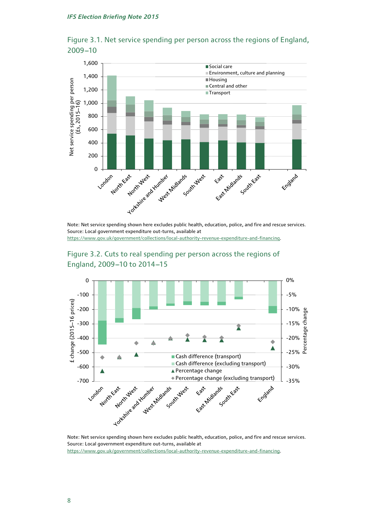

Figure 3.1. Net service spending per person across the regions of England, 2009-10

Note: Net service spending shown here excludes public health, education, police, and fire and rescue services. Source: Local government expenditure out-turns, available at

[https://www.gov.uk/government/collections/local-authority-revenue-expenditure-and-financing.](https://www.gov.uk/government/collections/local-authority-revenue-expenditure-and-financing)





Note: Net service spending shown here excludes public health, education, police, and fire and rescue services. Source: Local government expenditure out-turns, available at [https://www.gov.uk/government/collections/local-authority-revenue-expenditure-and-financing.](https://www.gov.uk/government/collections/local-authority-revenue-expenditure-and-financing)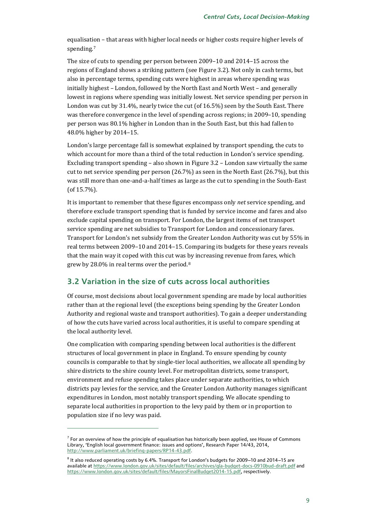equalisati[o](#page-9-0)n – that areas with higher local needs or higher costs require higher levels of spending.<sup>7</sup>

The size of cuts to spending per person between 2009–10 and 2014–15 across the regions of England shows a striking pattern (see Figure 3.2). Not only in cash terms, but also in percentage terms, spending cuts were highest in areas where spending was initially highest – London, followed by the North East and North West – and generally lowest in regions where spending was initially lowest. Net service spending per person in London was cut by 31.4%, nearly twice the cut (of 16.5%) seen by the South East. There was therefore convergence in the level of spending across regions; in 2009–10, spending per person was 80.1% higher in London than in the South East, but this had fallen to 48.0% higher by 2014–15.

London's large percentage fall is somewhat explained by transport spending, the cuts to which account for more than a third of the total reduction in London's service spending. Excluding transport spending – also shown in Figure 3.2 – London saw virtually the same cut to net service spending per person (26.7%) as seen in the North East (26.7%), but this was still more than one-and-a-half times as large as the cut to spending in the South-East (of 15.7%).

It is important to remember that these figures encompass only *net* service spending, and therefore exclude transport spending that is funded by service income and fares and also exclude capital spending on transport. For London, the largest items of net transport service spending are net subsidies to Transport for London and concessionary fares. Transport for London's net subsidy from the Greater London Authority was cut by 55% in real terms between 2009–10 and 2014–15. Comparing its budgets for these years reveals that the main way it coped with this cut was by increasing revenue from fares, which grew by 28.0% in real terms over the period.[8](#page-9-1)

### **3.2 Variation in the size of cuts across local authorities**

Of course, most decisions about local government spending are made by local authorities rather than at the regional level (the exceptions being spending by the Greater London Authority and regional waste and transport authorities). To gain a deeper understanding of how the cuts have varied across local authorities, it is useful to compare spending at the local authority level.

One complication with comparing spending between local authorities is the different structures of local government in place in England. To ensure spending by county councils is comparable to that by single-tier local authorities, we allocate all spending by shire districts to the shire county level. For metropolitan districts, some transport, environment and refuse spending takes place under separate authorities, to which districts pay levies for the service, and the Greater London Authority manages significant expenditures in London, most notably transport spending. We allocate spending to separate local authorities in proportion to the levy paid by them or in proportion to population size if no levy was paid.

<span id="page-9-0"></span> $<sup>7</sup>$  For an overview of how the principle of equalisation has historically been applied, see House of Commons</sup> Library, 'English local government finance: issues and options', Research Paper 14/43, 2014, [http://www.parliament.uk/briefing-papers/RP14-43.pdf.](http://www.parliament.uk/briefing-papers/RP14-43.pdf)

<span id="page-9-1"></span> $8$  It also reduced operating costs by 6.4%. Transport for London's budgets for 2009-10 and 2014-15 are available a[t https://www.london.gov.uk/sites/default/files/archives/gla-budget-docs-0910bud-draft.pdf](https://www.london.gov.uk/sites/default/files/archives/gla-budget-docs-0910bud-draft.pdf) and [https://www.london.gov.uk/sites/default/files/MayorsFinalBudget2014-15.pdf,](https://www.london.gov.uk/sites/default/files/MayorsFinalBudget2014-15.pdf) respectively.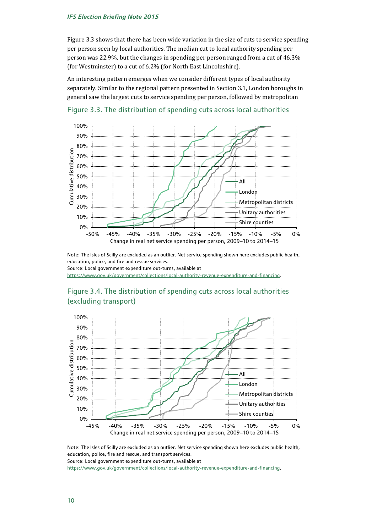Figure 3.3 shows that there has been wide variation in the size of cuts to service spending per person seen by local authorities. The median cut to local authority spending per person was 22.9%, but the changes in spending per person ranged from a cut of 46.3% (for Westminster) to a cut of 6.2% (for North East Lincolnshire).

An interesting pattern emerges when we consider different types of local authority separately. Similar to the regional pattern presented in Section 3.1, London boroughs in general saw the largest cuts to service spending per person, followed by metropolitan





Note: The Isles of Scilly are excluded as an outlier. Net service spending shown here excludes public health, education, police, and fire and rescue services. Source: Local government expenditure out-turns, available at

[https://www.gov.uk/government/collections/local-authority-revenue-expenditure-and-financing.](https://www.gov.uk/government/collections/local-authority-revenue-expenditure-and-financing)





Note: The Isles of Scilly are excluded as an outlier. Net service spending shown here excludes public health, education, police, fire and rescue, and transport services. Source: Local government expenditure out-turns, available at

[https://www.gov.uk/government/collections/local-authority-revenue-expenditure-and-financing.](https://www.gov.uk/government/collections/local-authority-revenue-expenditure-and-financing)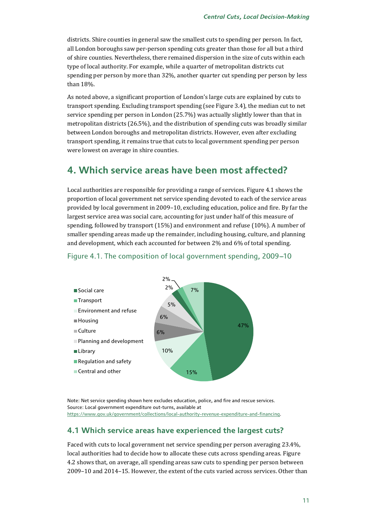districts. Shire counties in general saw the smallest cuts to spending per person. In fact, all London boroughs saw per-person spending cuts greater than those for all but a third of shire counties. Nevertheless, there remained dispersion in the size of cuts within each type of local authority. For example, while a quarter of metropolitan districts cut spending per person by more than 32%, another quarter cut spending per person by less than 18%.

As noted above, a significant proportion of London's large cuts are explained by cuts to transport spending. Excluding transport spending (see Figure 3.4), the median cut to net service spending per person in London (25.7%) was actually slightly lower than that in metropolitan districts (26.5%), and the distribution of spending cuts was broadly similar between London boroughs and metropolitan districts. However, even after excluding transport spending, it remains true that cuts to local government spending per person were lowest on average in shire counties.

## **4. Which service areas have been most affected?**

Local authorities are responsible for providing a range of services. Figure 4.1 shows the proportion of local government net service spending devoted to each of the service areas provided by local government in 2009–10, excluding education, police and fire. By far the largest service area was social care, accounting for just under half of this measure of spending, followed by transport (15%) and environment and refuse (10%). A number of smaller spending areas made up the remainder, including housing, culture, and planning and development, which each accounted for between 2% and 6% of total spending.



### Figure 4.1. The composition of local government spending, 2009-10

Note: Net service spending shown here excludes education, police, and fire and rescue services. Source: Local government expenditure out-turns, available at [https://www.gov.uk/government/collections/local-authority-revenue-expenditure-and-financing.](https://www.gov.uk/government/collections/local-authority-revenue-expenditure-and-financing)

## **4.1 Which service areas have experienced the largest cuts?**

Faced with cuts to local government net service spending per person averaging 23.4%, local authorities had to decide how to allocate these cuts across spending areas. Figure 4.2 shows that, on average, all spending areas saw cuts to spending per person between 2009–10 and 2014–15. However, the extent of the cuts varied across services. Other than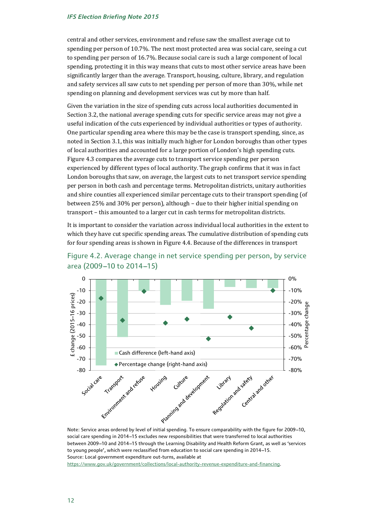central and other services, environment and refuse saw the smallest average cut to spending per person of 10.7%. The next most protected area was social care, seeing a cut to spending per person of 16.7%. Because social care is such a large component of local spending, protecting it in this way means that cuts to most other service areas have been significantly larger than the average. Transport, housing, culture, library, and regulation and safety services all saw cuts to net spending per person of more than 30%, while net spending on planning and development services was cut by more than half.

Given the variation in the size of spending cuts across local authorities documented in Section 3.2, the national average spending cuts for specific service areas may not give a useful indication of the cuts experienced by individual authorities or types of authority. One particular spending area where this may be the case is transport spending, since, as noted in Section 3.1, this was initially much higher for London boroughs than other types of local authorities and accounted for a large portion of London's high spending cuts. Figure 4.3 compares the average cuts to transport service spending per person experienced by different types of local authority. The graph confirms that it was in fact London boroughs that saw, on average, the largest cuts to net transport service spending per person in both cash and percentage terms. Metropolitan districts, unitary authorities and shire counties all experienced similar percentage cuts to their transport spending (of between 25% and 30% per person), although – due to their higher initial spending on transport – this amounted to a larger cut in cash terms for metropolitan districts.

It is important to consider the variation across individual local authorities in the extent to which they have cut specific spending areas. The cumulative distribution of spending cuts for four spending areas is shown in Figure 4.4. Because of the differences in transport





social care spending in 2014-15 excludes new responsibilities that were transferred to local authorities between 2009-10 and 2014-15 through the Learning Disability and Health Reform Grant, as well as 'services to young people', which were reclassified from education to social care spending in 2014-15. Source: Local government expenditure out-turns, available at [https://www.gov.uk/government/collections/local-authority-revenue-expenditure-and-financing.](https://www.gov.uk/government/collections/local-authority-revenue-expenditure-and-financing)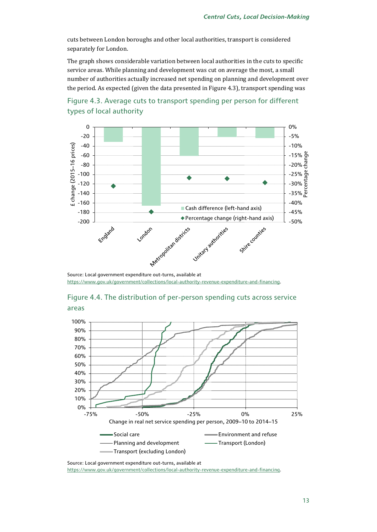cuts between London boroughs and other local authorities, transport is considered separately for London.

The graph shows considerable variation between local authorities in the cuts to specific service areas. While planning and development was cut on average the most, a small number of authorities actually increased net spending on planning and development over the period. As expected (given the data presented in Figure 4.3), transport spending was





[https://www.gov.uk/government/collections/local-authority-revenue-expenditure-and-financing.](https://www.gov.uk/government/collections/local-authority-revenue-expenditure-and-financing)

## Figure 4.4. The distribution of per-person spending cuts across service areas



Source: Local government expenditure out-turns, available at [https://www.gov.uk/government/collections/local-authority-revenue-expenditure-and-financing.](https://www.gov.uk/government/collections/local-authority-revenue-expenditure-and-financing)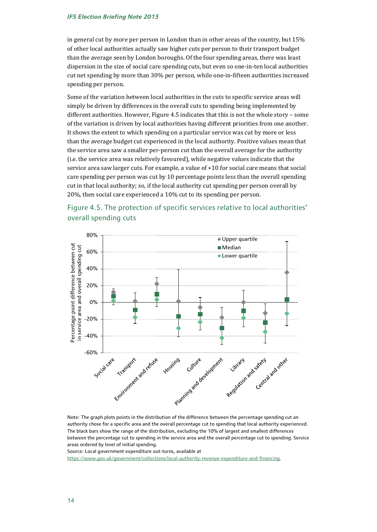in general cut by more per person in London than in other areas of the country, but 15% of other local authorities actually saw higher cuts per person to their transport budget than the average seen by London boroughs. Of the four spending areas, there was least dispersion in the size of social care spending cuts, but even so one-in-ten local authorities cut net spending by more than 30% per person, while one-in-fifteen authorities increased spending per person.

Some of the variation between local authorities in the cuts to specific service areas will simply be driven by differences in the overall cuts to spending being implemented by different authorities. However, Figure 4.5 indicates that this is not the whole story – some of the variation is driven by local authorities having different priorities from one another. It shows the extent to which spending on a particular service was cut by more or less than the average budget cut experienced in the local authority. Positive values mean that the service area saw a smaller per-person cut than the overall average for the authority (i.e. the service area was relatively favoured), while negative values indicate that the service area saw larger cuts. For example, a value of +10 for social care means that social care spending per person was cut by 10 percentage points less than the overall spending cut in that local authority; so, if the local authority cut spending per person overall by 20%, then social care experienced a 10% cut to its spending per person.



## Figure 4.5. The protection of specific services relative to local authorities' overall spending cuts

Note: The graph plots points in the distribution of the difference between the percentage spending cut an authority chose for a specific area and the overall percentage cut to spending that local authority experienced. The black bars show the range of the distribution, excluding the 10% of largest and smallest differences between the percentage cut to spending in the service area and the overall percentage cut to spending. Service areas ordered by level of initial spending.

Source: Local government expenditure out-turns, available at

[https://www.gov.uk/government/collections/local-authority-revenue-expenditure-and-financing.](https://www.gov.uk/government/collections/local-authority-revenue-expenditure-and-financing)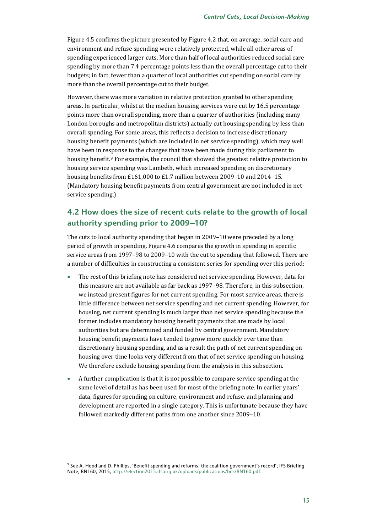Figure 4.5 confirms the picture presented by Figure 4.2 that, on average, social care and environment and refuse spending were relatively protected, while all other areas of spending experienced larger cuts. More than half of local authorities reduced social care spending by more than 7.4 percentage points less than the overall percentage cut to their budgets; in fact, fewer than a quarter of local authorities cut spending on social care by more than the overall percentage cut to their budget.

However, there was more variation in relative protection granted to other spending areas. In particular, whilst at the median housing services were cut by 16.5 percentage points more than overall spending, more than a quarter of authorities (including many London boroughs and metropolitan districts) actually cut housing spending by less than overall spending. For some areas, this reflects a decision to increase discretionary housing benefit payments (which are included in net service spending), which may well have been in re[sp](#page-15-0)onse to the changes that have been made during this parliament to housing benefit.<sup>9</sup> For example, the council that showed the greatest relative protection to housing service spending was Lambeth, which increased spending on discretionary housing benefits from £161,000 to £1.7 million between 2009–10 and 2014–15. (Mandatory housing benefit payments from central government are not included in net service spending.)

## **4.2 How does the size of recent cuts relate to the growth of local**  authority spending prior to 2009-10?

The cuts to local authority spending that began in 2009–10 were preceded by a long period of growth in spending. Figure 4.6 compares the growth in spending in specific service areas from 1997–98 to 2009–10 with the cut to spending that followed. There are a number of difficulties in constructing a consistent series for spending over this period:

- The rest of this briefing note has considered net service spending. However, data for this measure are not available as far back as 1997–98. Therefore, in this subsection, we instead present figures for net current spending. For most service areas, there is little difference between net service spending and net current spending. However, for housing, net current spending is much larger than net service spending because the former includes mandatory housing benefit payments that are made by local authorities but are determined and funded by central government. Mandatory housing benefit payments have tended to grow more quickly over time than discretionary housing spending, and as a result the path of net current spending on housing over time looks very different from that of net service spending on housing. We therefore exclude housing spending from the analysis in this subsection.
- A further complication is that it is not possible to compare service spending at the same level of detail as has been used for most of the briefing note. In earlier years' data, figures for spending on culture, environment and refuse, and planning and development are reported in a single category. This is unfortunate because they have followed markedly different paths from one another since 2009–10.

<span id="page-15-0"></span><sup>&</sup>lt;sup>9</sup> See A. Hood and D. Phillips, 'Benefit spending and reforms: the coalition government's record', IFS Briefing Note, BN160, 2015[, http://election2015.ifs.org.uk/uploads/publications/bns/BN160.pdf.](http://election2015.ifs.org.uk/uploads/publications/bns/BN160.pdf)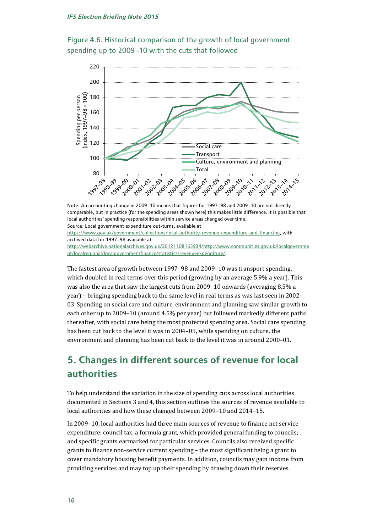Figure 4.6. Historical comparison of the growth of local government spending up to 2009-10 with the cuts that followed



Note: An accounting change in 2009-10 means that figures for 1997-98 and 2009-10 are not directly comparable, but in practice (for the spending areas shown here) this makes little difference. It is possible that local authorities' spending responsibilities within service areas changed over time. Source: Local government expenditure out-turns, available at [https://www.gov.uk/government/collections/local-authority-revenue-expenditure-and-financing,](https://www.gov.uk/government/collections/local-authority-revenue-expenditure-and-financing) with archived data for 1997-98 available at [http://webarchive.nationalarchives.gov.uk/20121108165934/http://www.communities.gov.uk/localgovernme](http://webarchive.nationalarchives.gov.uk/20121108165934/http:/www.communities.gov.uk/localgovernment/localregional/localgovernmentfinance/statistics/revenueexpenditure/) [nt/localregional/localgovernmentfinance/statistics/revenueexpenditure/.](http://webarchive.nationalarchives.gov.uk/20121108165934/http:/www.communities.gov.uk/localgovernment/localregional/localgovernmentfinance/statistics/revenueexpenditure/)

The fastest area of growth between 1997–98 and 2009–10 was transport spending, which doubled in real terms over this period (growing by an average 5.9% a year). This was also the area that saw the largest cuts from 2009–10 onwards (averaging 8.5% a year) – bringing spending back to the same level in real terms as was last seen in 2002– 03. Spending on social care and culture, environment and planning saw similar growth to each other up to 2009–10 (around 4.5% per year) but followed markedly different paths thereafter, with social care being the most protected spending area. Social care spending has been cut back to the level it was in 2004–05, while spending on culture, the environment and planning has been cut back to the level it was in around 2000–01.

## **5. Changes in different sources of revenue for local authorities**

To help understand the variation in the size of spending cuts across local authorities documented in Sections 3 and 4, this section outlines the sources of revenue available to local authorities and how these changed between 2009–10 and 2014–15.

In 2009–10, local authorities had three main sources of revenue to finance net service expenditure: council tax; a formula grant, which provided general funding to councils; and specific grants earmarked for particular services. Councils also received specific grants to finance non-service current spending – the most significant being a grant to cover mandatory housing benefit payments. In addition, councils may gain income from providing services and may top up their spending by drawing down their reserves.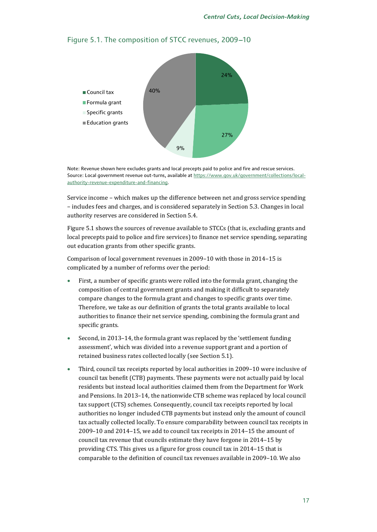



Note: Revenue shown here excludes grants and local precepts paid to police and fire and rescue services. Source: Local government revenue out-turns, available a[t https://www.gov.uk/government/collections/local](https://www.gov.uk/government/collections/local-authority-revenue-expenditure-and-financing)[authority-revenue-expenditure-and-financing.](https://www.gov.uk/government/collections/local-authority-revenue-expenditure-and-financing)

Service income – which makes up the difference between net and gross service spending – includes fees and charges, and is considered separately in Section 5.3. Changes in local authority reserves are considered in Section 5.4.

Figure 5.1 shows the sources of revenue available to STCCs (that is, excluding grants and local precepts paid to police and fire services) to finance net service spending, separating out education grants from other specific grants.

Comparison of local government revenues in 2009–10 with those in 2014–15 is complicated by a number of reforms over the period:

- First, a number of specific grants were rolled into the formula grant, changing the composition of central government grants and making it difficult to separately compare changes to the formula grant and changes to specific grants over time. Therefore, we take as our definition of grants the total grants available to local authorities to finance their net service spending, combining the formula grant and specific grants.
- Second, in 2013–14, the formula grant was replaced by the 'settlement funding assessment', which was divided into a revenue support grant and a portion of retained business rates collected locally (see Section 5.1).
- Third, council tax receipts reported by local authorities in 2009–10 were inclusive of council tax benefit (CTB) payments. These payments were not actually paid by local residents but instead local authorities claimed them from the Department for Work and Pensions. In 2013–14, the nationwide CTB scheme was replaced by local council tax support (CTS) schemes. Consequently, council tax receipts reported by local authorities no longer included CTB payments but instead only the amount of council tax actually collected locally. To ensure comparability between council tax receipts in 2009–10 and 2014–15, we add to council tax receipts in 2014–15 the amount of council tax revenue that councils estimate they have forgone in 2014–15 by providing CTS. This gives us a figure for gross council tax in 2014–15 that is comparable to the definition of council tax revenues available in 2009–10. We also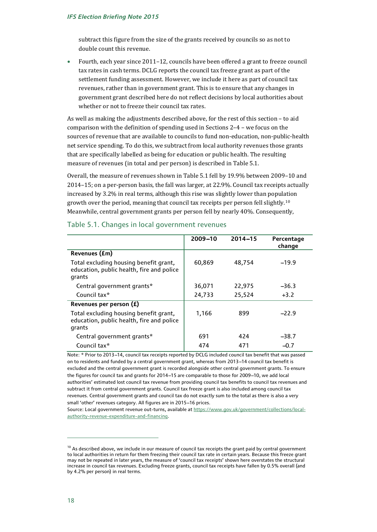subtract this figure from the size of the grants received by councils so as not to double count this revenue.

• Fourth, each year since 2011–12, councils have been offered a grant to freeze council tax rates in cash terms. DCLG reports the council tax freeze grant as part of the settlement funding assessment. However, we include it here as part of council tax revenues, rather than in government grant. This is to ensure that any changes in government grant described here do not reflect decisions by local authorities about whether or not to freeze their council tax rates.

As well as making the adjustments described above, for the rest of this section – to aid comparison with the definition of spending used in Sections 2–4 – we focus on the sources of revenue that are available to councils to fund non-education, non-public-health net service spending. To do this, we subtract from local authority revenues those grants that are specifically labelled as being for education or public health. The resulting measure of revenues (in total and per person) is described in Table 5.1.

Overall, the measure of revenues shown in Table 5.1 fell by 19.9% between 2009–10 and 2014–15; on a per-person basis, the fall was larger, at 22.9%. Council tax receipts actually increased by 3.2% in real terms, although this rise was slightly lower than population growth over the period, meaning that council tax receipts per person fell slightly.[10](#page-18-0) Meanwhile, central government grants per person fell by nearly 40%. Consequently,

|                                                                                               | 2009-10 | $2014 - 15$ | Percentage<br>change |
|-----------------------------------------------------------------------------------------------|---------|-------------|----------------------|
| Revenues (£m)                                                                                 |         |             |                      |
| Total excluding housing benefit grant,<br>education, public health, fire and police<br>grants | 60,869  | 48,754      | $-19.9$              |
| Central government grants*                                                                    | 36,071  | 22,975      | $-36.3$              |
| Council tax*                                                                                  | 24,733  | 25,524      | $+3.2$               |
| Revenues per person (£)                                                                       |         |             |                      |
| Total excluding housing benefit grant,<br>education, public health, fire and police<br>grants | 1,166   | 899         | $-22.9$              |
| Central government grants*                                                                    | 691     | 424         | $-38.7$              |
| Council tax*                                                                                  | 474     | 471         | $-0.7$               |

### Table 5.1. Changes in local government revenues

Note: \* Prior to 2013-14, council tax receipts reported by DCLG included council tax benefit that was passed on to residents and funded by a central government grant, whereas from 2013-14 council tax benefit is excluded and the central government grant is recorded alongside other central government grants. To ensure the figures for council tax and grants for 2014-15 are comparable to those for 2009-10, we add local authorities' estimated lost council tax revenue from providing council tax benefits to council tax revenues and subtract it from central government grants. Council tax freeze grant is also included among council tax revenues. Central government grants and council tax do not exactly sum to the total as there is also a very small 'other' revenues category. All figures are in 2015-16 prices.

Source: Local government revenue out-turns, available a[t https://www.gov.uk/government/collections/local](https://www.gov.uk/government/collections/local-authority-revenue-expenditure-and-financing)[authority-revenue-expenditure-and-financing.](https://www.gov.uk/government/collections/local-authority-revenue-expenditure-and-financing)

<span id="page-18-0"></span> $10$  As described above, we include in our measure of council tax receipts the grant paid by central government to local authorities in return for them freezing their council tax rate in certain years. Because this freeze grant may not be repeated in later years, the measure of 'council tax receipts' shown here overstates the structural increase in council tax revenues. Excluding freeze grants, council tax receipts have fallen by 0.5% overall (and by 4.2% per person) in real terms.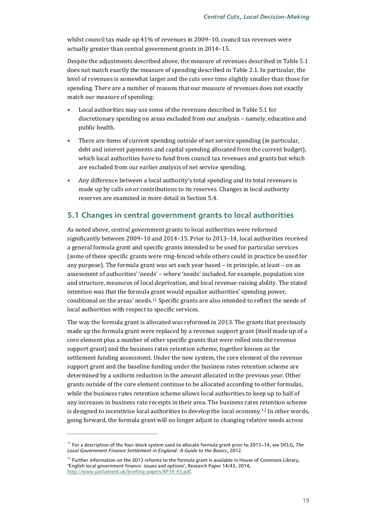whilst council tax made up 41% of revenues in 2009–10, council tax revenues were actually greater than central government grants in 2014–15.

Despite the adjustments described above, the measure of revenues described in Table 5.1 does not match exactly the measure of spending described in Table 2.1. In particular, the level of revenues is somewhat larger and the cuts over time slightly smaller than those for spending. There are a number of reasons that our measure of revenues does not exactly match our measure of spending:

- Local authorities may use some of the revenues described in Table 5.1 for discretionary spending on areas excluded from our analysis – namely, education and public health.
- There are items of current spending outside of net service spending (in particular, debt and interest payments and capital spending allocated from the current budget), which local authorities have to fund from council tax revenues and grants but which are excluded from our earlier analysis of net service spending.
- Any difference between a local authority's total spending and its total revenues is made up by calls on or contributions to its reserves. Changes in local authority reserves are examined in more detail in Section 5.4.

### **5.1 Changes in central government grants to local authorities**

As noted above, central government grants to local authorities were reformed significantly between 2009–10 and 2014–15. Prior to 2013–14, local authorities received a general formula grant and specific grants intended to be used for particular services (some of these specific grants were ring-fenced while others could in practice be used for any purpose). The formula grant was set each year based – in principle, at least – on an assessment of authorities' 'needs' – where 'needs' included, for example, population size and structure, measures of local deprivation, and local revenue-raising ability. The stated intention was that the formula grant would equalise authorities' spending power, conditional on the areas' needs.[11](#page-19-0) Specific grants are also intended to reflect the needs of local authorities with respect to specific services.

The way the formula grant is allocated was reformed in 2013. The grants that previously made up the formula grant were replaced by a revenue support grant (itself made up of a core element plus a number of other specific grants that were rolled into the revenue support grant) and the business rates retention scheme, together known as the settlement funding assessment. Under the new system, the core element of the revenue support grant and the baseline funding under the business rates retention scheme are determined by a uniform reduction in the amount allocated in the previous year. Other grants outside of the core element continue to be allocated according to other formulas, while the business rates retention scheme allows local authorities to keep up to half of any increases in business rate receipts in their area. The business rates retention scheme is designed to incentivise local authorities to develop the local economy.[12](#page-19-1) In other words, going forward, the formula grant will no longer adjust to changing relative needs across

<span id="page-19-0"></span><sup>&</sup>lt;sup>11</sup> For a description of the four-block system used to allocate formula grant prior to 2013–14, see DCLG, *The Local Government Finance Settlement in England: A Guide to the Basics*, 2012.

<span id="page-19-1"></span><sup>&</sup>lt;sup>12</sup> Further information on the 2013 reforms to the formula grant is available in House of Commons Library, 'English local government finance: issues and options', Research Paper 14/43, 2014, [http://www.parliament.uk/briefing-papers/RP14-43.pdf.](http://www.parliament.uk/briefing-papers/RP14-43.pdf)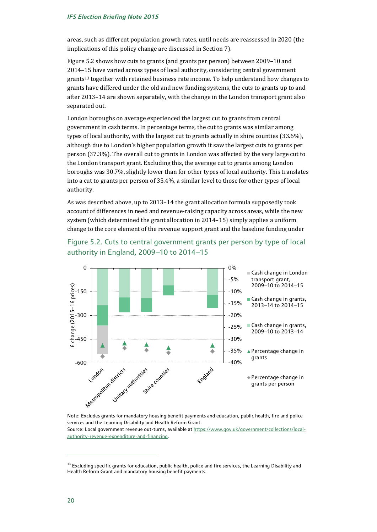areas, such as different population growth rates, until needs are reassessed in 2020 (the implications of this policy change are discussed in Section 7).

Figure 5.2 shows how cuts to grants (and grants per person) between 2009–10 and 2014–15 have varied across types of local authority, considering central government grants<sup>[13](#page-20-0)</sup> together with retained business rate income. To help understand how changes to grants have differed under the old and new funding systems, the cuts to grants up to and after 2013–14 are shown separately, with the change in the London transport grant also separated out.

London boroughs on average experienced the largest cut to grants from central government in cash terms. In percentage terms, the cut to grants was similar among types of local authority, with the largest cut to grants actually in shire counties (33.6%), although due to London's higher population growth it saw the largest cuts to grants per person (37.3%). The overall cut to grants in London was affected by the very large cut to the London transport grant. Excluding this, the average cut to grants among London boroughs was 30.7%, slightly lower than for other types of local authority. This translates into a cut to grants per person of 35.4%, a similar level to those for other types of local authority.

As was described above, up to 2013–14 the grant allocation formula supposedly took account of differences in need and revenue-raising capacity across areas, while the new system (which determined the grant allocation in 2014–15) simply applies a uniform change to the core element of the revenue support grant and the baseline funding under

## Figure 5.2. Cuts to central government grants per person by type of local authority in England, 2009-10 to 2014-15



services and the Learning Disability and Health Reform Grant.

Source: Local government revenue out-turns, available a[t https://www.gov.uk/government/collections/local](https://www.gov.uk/government/collections/local-authority-revenue-expenditure-and-financing)[authority-revenue-expenditure-and-financing.](https://www.gov.uk/government/collections/local-authority-revenue-expenditure-and-financing)

<span id="page-20-0"></span><sup>&</sup>lt;sup>13</sup> Excluding specific grants for education, public health, police and fire services, the Learning Disability and Health Reform Grant and mandatory housing benefit payments.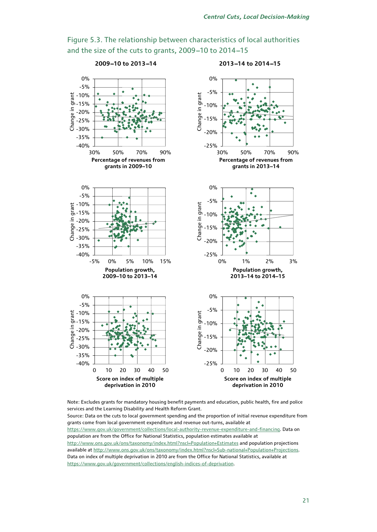

Figure 5.3. The relationship between characteristics of local authorities and the size of the cuts to grants, 2009-10 to 2014-15

Note: Excludes grants for mandatory housing benefit payments and education, public health, fire and police services and the Learning Disability and Health Reform Grant.

Source: Data on the cuts to local government spending and the proportion of initial revenue expenditure from grants come from local government expenditure and revenue out-turns, available at [https://www.gov.uk/government/collections/local-authority-revenue-expenditure-and-financing.](https://www.gov.uk/government/collections/local-authority-revenue-expenditure-and-financing) Data on population are from the Office for National Statistics, population estimates available at <http://www.ons.gov.uk/ons/taxonomy/index.html?nscl=Population+Estimates> and population projections available a[t http://www.ons.gov.uk/ons/taxonomy/index.html?nscl=Sub-national+Population+Projections.](http://www.ons.gov.uk/ons/taxonomy/index.html?nscl=Sub-national+Population+Projections) Data on index of multiple deprivation in 2010 are from the Office for National Statistics, available at [https://www.gov.uk/government/collections/english-indices-of-deprivation.](https://www.gov.uk/government/collections/english-indices-of-deprivation)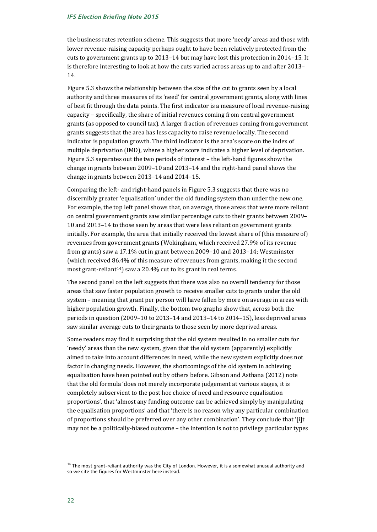the business rates retention scheme. This suggests that more 'needy' areas and those with lower revenue-raising capacity perhaps ought to have been relatively protected from the cuts to government grants up to 2013–14 but may have lost this protection in 2014–15. It is therefore interesting to look at how the cuts varied across areas up to and after 2013– 14.

Figure 5.3 shows the relationship between the size of the cut to grants seen by a local authority and three measures of its 'need' for central government grants, along with lines of best fit through the data points. The first indicator is a measure of local revenue-raising capacity – specifically, the share of initial revenues coming from central government grants (as opposed to council tax). A larger fraction of revenues coming from government grants suggests that the area has less capacity to raise revenue locally. The second indicator is population growth. The third indicator is the area's score on the index of multiple deprivation (IMD), where a higher score indicates a higher level of deprivation. Figure 5.3 separates out the two periods of interest – the left-hand figures show the change in grants between 2009–10 and 2013–14 and the right-hand panel shows the change in grants between 2013–14 and 2014–15.

Comparing the left- and right-hand panels in Figure 5.3 suggests that there was no discernibly greater 'equalisation' under the old funding system than under the new one. For example, the top left panel shows that, on average, those areas that were more reliant on central government grants saw similar percentage cuts to their grants between 2009– 10 and 2013–14 to those seen by areas that were less reliant on government grants initially. For example, the area that initially received the lowest share of (this measure of) revenues from government grants (Wokingham, which received 27.9% of its revenue from grants) saw a 17.1% cut in grant between 2009–10 and 2013–14; Westminster (which received 86.4% of this measure of revenues from grants, making it the second most grant-reliant<sup>[14](#page-22-0)</sup>) saw a 20.4% cut to its grant in real terms.

The second panel on the left suggests that there was also no overall tendency for those areas that saw faster population growth to receive smaller cuts to grants under the old system – meaning that grant per person will have fallen by more on average in areas with higher population growth. Finally, the bottom two graphs show that, across both the periods in question (2009–10 to 2013–14 and 2013–14 to 2014–15), less deprived areas saw similar average cuts to their grants to those seen by more deprived areas.

Some readers may find it surprising that the old system resulted in no smaller cuts for 'needy' areas than the new system, given that the old system (apparently) explicitly aimed to take into account differences in need, while the new system explicitly does not factor in changing needs. However, the shortcomings of the old system in achieving equalisation have been pointed out by others before. Gibson and Asthana (2012) note that the old formula 'does not merely incorporate judgement at various stages, it is completely subservient to the post hoc choice of need and resource equalisation proportions', that 'almost any funding outcome can be achieved simply by manipulating the equalisation proportions' and that 'there is no reason why any particular combination of proportions should be preferred over any other combination'. They conclude that '[i]t may not be a politically-biased outcome – the intention is not to privilege particular types

<span id="page-22-0"></span><sup>&</sup>lt;sup>14</sup> The most grant-reliant authority was the City of London. However, it is a somewhat unusual authority and so we cite the figures for Westminster here instead.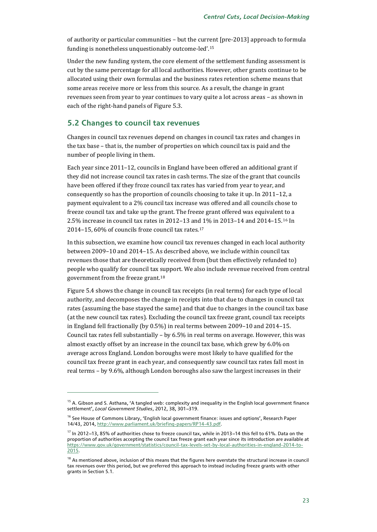of authority or particular communities – but the curr[en](#page-23-0)t [pre-2013] approach to formula funding is nonetheless unquestionably outcome-led'.15

Under the new funding system, the core element of the settlement funding assessment is cut by the same percentage for all local authorities. However, other grants continue to be allocated using their own formulas and the business rates retention scheme means that some areas receive more or less from this source. As a result, the change in grant revenues seen from year to year continues to vary quite a lot across areas – as shown in each of the right-hand panels of Figure 5.3.

### **5.2 Changes to council tax revenues**

Changes in council tax revenues depend on changes in council tax rates and changes in the tax base – that is, the number of properties on which council tax is paid and the number of people living in them.

Each year since 2011–12, councils in England have been offered an additional grant if they did not increase council tax rates in cash terms. The size of the grant that councils have been offered if they froze council tax rates has varied from year to year, and consequently so has the proportion of councils choosing to take it up. In 2011–12, a payment equivalent to a 2% council tax increase was offered and all councils chose to freeze council tax and take up the grant. The freeze grant offered was equivalent to a 2.5% increase in council tax rates in 2012–13 an[d 1](#page-23-2)% in 2013–14 and 2014–15.[16](#page-23-1) In 2014–15, 60% of councils froze council tax rates.17

In this subsection, we examine how council tax revenues changed in each local authority between 2009–10 and 2014–15. As described above, we include within council tax revenues those that are theoretically received from (but then effectively refunded to) people who qualify for council tax support. We also include revenue received from central government from the freeze grant.[18](#page-23-3)

Figure 5.4 shows the change in council tax receipts (in real terms) for each type of local authority, and decomposes the change in receipts into that due to changes in council tax rates (assuming the base stayed the same) and that due to changes in the council tax base (at the new council tax rates). Excluding the council tax freeze grant, council tax receipts in England fell fractionally (by 0.5%) in real terms between 2009–10 and 2014–15. Council tax rates fell substantially – by 6.5% in real terms on average. However, this was almost exactly offset by an increase in the council tax base, which grew by 6.0% on average across England. London boroughs were most likely to have qualified for the council tax freeze grant in each year, and consequently saw council tax rates fall most in real terms – by 9.6%, although London boroughs also saw the largest increases in their

<span id="page-23-0"></span> $15$  A. Gibson and S. Asthana, 'A tangled web: complexity and inequality in the English local government finance settlement', Local Government Studies, 2012, 38, 301-319.

<span id="page-23-1"></span><sup>&</sup>lt;sup>16</sup> See House of Commons Library, 'English local government finance: issues and options', Research Paper 14/43, 2014[, http://www.parliament.uk/briefing-papers/RP14-43.pdf.](http://www.parliament.uk/briefing-papers/RP14-43.pdf)

<span id="page-23-2"></span> $17$  In 2012-13, 85% of authorities chose to freeze council tax, while in 2013-14 this fell to 61%. Data on the proportion of authorities accepting the council tax freeze grant each year since its introduction are available at [https://www.gov.uk/government/statistics/council-tax-levels-set-by-local-authorities-in-england-2014-to-](https://www.gov.uk/government/statistics/council-tax-levels-set-by-local-authorities-in-england-2014-to-2015)[2015.](https://www.gov.uk/government/statistics/council-tax-levels-set-by-local-authorities-in-england-2014-to-2015)

<span id="page-23-3"></span> $18$  As mentioned above, inclusion of this means that the figures here overstate the structural increase in council tax revenues over this period, but we preferred this approach to instead including freeze grants with other grants in Section 5.1.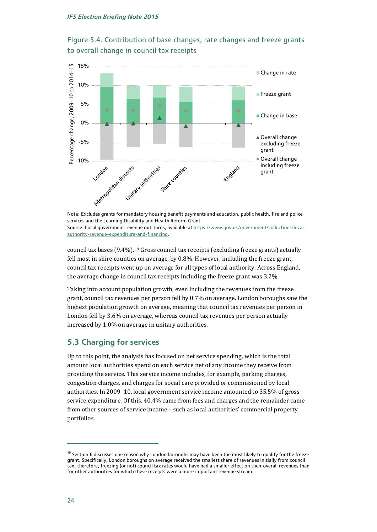



services and the Learning Disability and Health Reform Grant. Source: Local government revenue out-turns, available a[t https://www.gov.uk/government/collections/local](https://www.gov.uk/government/collections/local-authority-revenue-expenditure-and-financing)[authority-revenue-expenditure-and-financing.](https://www.gov.uk/government/collections/local-authority-revenue-expenditure-and-financing)

council tax bases  $(9.4\%)$ .<sup>[19](#page-24-0)</sup> Gross council tax receipts (excluding freeze grants) actually fell most in shire counties on average, by 0.8%. However, including the freeze grant, council tax receipts went up on average for all types of local authority. Across England, the average change in council tax receipts including the freeze grant was 3.2%.

Taking into account population growth, even including the revenues from the freeze grant, council tax revenues per person fell by 0.7% on average. London boroughs saw the highest population growth on average, meaning that council tax revenues per person in London fell by 3.6% on average, whereas council tax revenues per person actually increased by 1.0% on average in unitary authorities.

## **5.3 Charging for services**

Up to this point, the analysis has focused on net service spending, which is the total amount local authorities spend on each service net of any income they receive from providing the service. This service income includes, for example, parking charges, congestion charges, and charges for social care provided or commissioned by local authorities. In 2009–10, local government service income amounted to 35.5% of gross service expenditure. Of this, 40.4% came from fees and charges and the remainder came from other sources of service income – such as local authorities' commercial property portfolios.

<span id="page-24-0"></span> $19$  Section 6 discusses one reason why London boroughs may have been the most likely to qualify for the freeze grant. Specifically, London boroughs on average received the smallest share of revenues initially from council tax; therefore, freezing (or not) council tax rates would have had a smaller effect on their overall revenues than for other authorities for which these receipts were a more important revenue stream.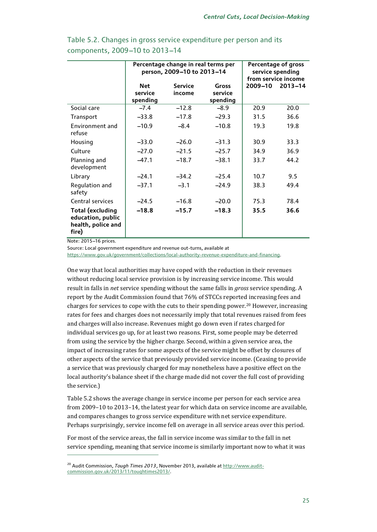|                                                                             | Percentage change in real terms per<br>person, 2009-10 to 2013-14 |                |                    | Percentage of gross<br>service spending<br>from service income |             |
|-----------------------------------------------------------------------------|-------------------------------------------------------------------|----------------|--------------------|----------------------------------------------------------------|-------------|
|                                                                             | <b>Net</b>                                                        | <b>Service</b> | Gross              | 2009-10                                                        | $2013 - 14$ |
|                                                                             | service                                                           | income         | service            |                                                                |             |
| Social care                                                                 | spending                                                          | $-12.8$        | spending<br>$-8.9$ | 20.9                                                           |             |
|                                                                             | $-7.4$                                                            |                |                    |                                                                | 20.0        |
| Transport                                                                   | $-33.8$                                                           | $-17.8$        | $-29.3$            | 31.5                                                           | 36.6        |
| Environment and<br>refuse                                                   | $-10.9$                                                           | $-8.4$         | $-10.8$            | 19.3                                                           | 19.8        |
| Housing                                                                     | $-33.0$                                                           | $-26.0$        | $-31.3$            | 30.9                                                           | 33.3        |
| Culture                                                                     | $-27.0$                                                           | $-21.5$        | $-25.7$            | 34.9                                                           | 36.9        |
| Planning and<br>development                                                 | $-47.1$                                                           | $-18.7$        | $-38.1$            | 33.7                                                           | 44.2        |
| Library                                                                     | $-24.1$                                                           | $-34.2$        | $-25.4$            | 10.7                                                           | 9.5         |
| Regulation and<br>safety                                                    | $-37.1$                                                           | $-3.1$         | $-24.9$            | 38.3                                                           | 49.4        |
| Central services                                                            | $-24.5$                                                           | $-16.8$        | $-20.0$            | 75.3                                                           | 78.4        |
| <b>Total (excluding</b><br>education, public<br>health, police and<br>fire) | $-18.8$                                                           | $-15.7$        | $-18.3$            | 35.5                                                           | 36.6        |

## Table 5.2. Changes in gross service expenditure per person and its components, 2009-10 to 2013-14

Note: 2015-16 prices.

j

Source: Local government expenditure and revenue out-turns, available at

[https://www.gov.uk/government/collections/local-authority-revenue-expenditure-and-financing.](https://www.gov.uk/government/collections/local-authority-revenue-expenditure-and-financing)

One way that local authorities may have coped with the reduction in their revenues without reducing local service provision is by increasing service income. This would result in falls in *net* service spending without the same falls in *gross* service spending. A report by the Audit Commission found that 76% of STCCs reported increasing fees and charges for services to cope with the cuts to their spending power.[20](#page-25-0) However, increasing rates for fees and charges does not necessarily imply that total revenues raised from fees and charges will also increase. Revenues might go down even if rates charged for individual services go up, for at least two reasons. First, some people may be deterred from using the service by the higher charge. Second, within a given service area, the impact of increasing rates for some aspects of the service might be offset by closures of other aspects of the service that previously provided service income. (Ceasing to provide a service that was previously charged for may nonetheless have a positive effect on the local authority's balance sheet if the charge made did not cover the full cost of providing the service.)

Table 5.2 shows the average change in service income per person for each service area from 2009–10 to 2013–14, the latest year for which data on service income are available, and compares changes to gross service expenditure with net service expenditure. Perhaps surprisingly, service income fell on average in all service areas over this period.

For most of the service areas, the fall in service income was similar to the fall in net service spending, meaning that service income is similarly important now to what it was

<span id="page-25-0"></span><sup>&</sup>lt;sup>20</sup> Audit Commission, *Tough Times 2013*, November 2013, available a[t http://www.audit](http://www.audit-commission.gov.uk/2013/11/toughtimes2013/)[commission.gov.uk/2013/11/toughtimes2013/.](http://www.audit-commission.gov.uk/2013/11/toughtimes2013/)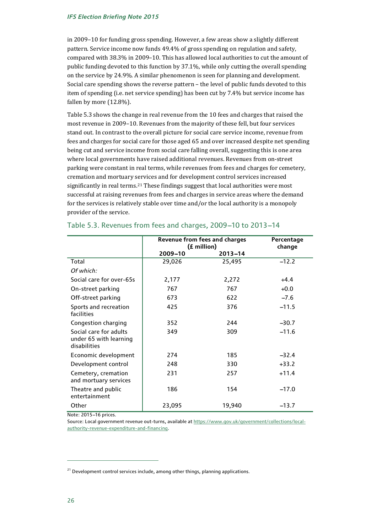in 2009–10 for funding gross spending. However, a few areas show a slightly different pattern. Service income now funds 49.4% of gross spending on regulation and safety, compared with 38.3% in 2009–10. This has allowed local authorities to cut the amount of public funding devoted to this function by 37.1%, while only cutting the overall spending on the service by 24.9%. A similar phenomenon is seen for planning and development. Social care spending shows the reverse pattern – the level of public funds devoted to this item of spending (i.e. net service spending) has been cut by 7.4% but service income has fallen by more (12.8%).

Table 5.3 shows the change in real revenue from the 10 fees and charges that raised the most revenue in 2009–10. Revenues from the majority of these fell, but four services stand out. In contrast to the overall picture for social care service income, revenue from fees and charges for social care for those aged 65 and over increased despite net spending being cut and service income from social care falling overall, suggesting this is one area where local governments have raised additional revenues. Revenues from on-street parking were constant in real terms, while revenues from fees and charges for cemetery, cremation and mortuary services and for development control services increased significantly in real terms.<sup>[21](#page-26-0)</sup> These findings suggest that local authorities were most successful at raising revenues from fees and charges in service areas where the demand for the services is relatively stable over time and/or the local authority is a monopoly provider of the service.

|                                                                  | <b>Revenue from fees and charges</b><br>(£ million) | Percentage<br>change |         |
|------------------------------------------------------------------|-----------------------------------------------------|----------------------|---------|
|                                                                  | 2009-10                                             | $2013 - 14$          |         |
| Total                                                            | 29,026                                              | 25,495               | $-12.2$ |
| Of which:                                                        |                                                     |                      |         |
| Social care for over-65s                                         | 2,177                                               | 2,272                | $+4.4$  |
| On-street parking                                                | 767                                                 | 767                  | $+0.0$  |
| Off-street parking                                               | 673                                                 | 622                  | $-7.6$  |
| Sports and recreation<br>facilities                              | 425                                                 | 376                  | $-11.5$ |
| Congestion charging                                              | 352                                                 | 244                  | $-30.7$ |
| Social care for adults<br>under 65 with learning<br>disabilities | 349                                                 | 309                  | $-11.6$ |
| Economic development                                             | 274                                                 | 185                  | $-32.4$ |
| Development control                                              | 248                                                 | 330                  | $+33.2$ |
| Cemetery, cremation<br>and mortuary services                     | 231                                                 | 257                  | $+11.4$ |
| Theatre and public<br>entertainment                              | 186                                                 | 154                  | $-17.0$ |
| Other                                                            | 23,095                                              | 19,940               | $-13.7$ |

### Table 5.3. Revenues from fees and charges, 2009-10 to 2013-14

Note: 2015-16 prices.

Source: Local government revenue out-turns, available a[t https://www.gov.uk/government/collections/local](https://www.gov.uk/government/collections/local-authority-revenue-expenditure-and-financing)[authority-revenue-expenditure-and-financing.](https://www.gov.uk/government/collections/local-authority-revenue-expenditure-and-financing)

<span id="page-26-0"></span><sup>&</sup>lt;sup>21</sup> Development control services include, among other things, planning applications.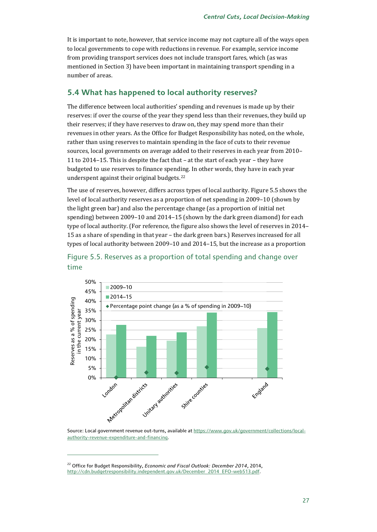It is important to note, however, that service income may not capture all of the ways open to local governments to cope with reductions in revenue. For example, service income from providing transport services does not include transport fares, which (as was mentioned in Section 3) have been important in maintaining transport spending in a number of areas.

### **5.4 What has happened to local authority reserves?**

The difference between local authorities' spending and revenues is made up by their reserves: if over the course of the year they spend less than their revenues, they build up their reserves; if they have reserves to draw on, they may spend more than their revenues in other years. As the Office for Budget Responsibility has noted, on the whole, rather than using reserves to maintain spending in the face of cuts to their revenue sources, local governments on average added to their reserves in each year from 2010– 11 to 2014–15. This is despite the fact that – at the start of each year – they have budgeted to use reserves to finance spending. In other words, they have in each year underspent against their original budgets.[22](#page-27-0)

The use of reserves, however, differs across types of local authority. Figure 5.5 shows the level of local authority reserves as a proportion of net spending in 2009–10 (shown by the light green bar) and also the percentage change (as a proportion of initial net spending) between 2009–10 and 2014–15 (shown by the dark green diamond) for each type of local authority. (For reference, the figure also shows the level of reserves in 2014– 15 as a share of spending in that year – the dark green bars.) Reserves increased for all types of local authority between 2009–10 and 2014–15, but the increase as a proportion



### Figure 5.5. Reserves as a proportion of total spending and change over time

[authority-revenue-expenditure-and-financing.](https://www.gov.uk/government/collections/local-authority-revenue-expenditure-and-financing)

<span id="page-27-0"></span><sup>22</sup> Office for Budget Responsibility, *Economic and Fiscal Outlook: December 2014*, 2014, [http://cdn.budgetresponsibility.independent.gov.uk/December\\_2014\\_EFO-web513.pdf.](http://cdn.budgetresponsibility.independent.gov.uk/December_2014_EFO-web513.pdf)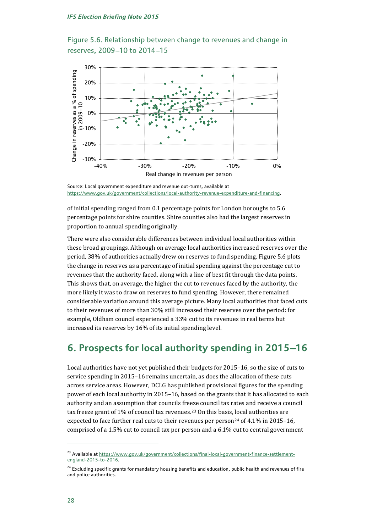Figure 5.6. Relationship between change to revenues and change in reserves, 2009-10 to 2014-15



Source: Local government expenditure and revenue out-turns, available at [https://www.gov.uk/government/collections/local-authority-revenue-expenditure-and-financing.](https://www.gov.uk/government/collections/local-authority-revenue-expenditure-and-financing)

of initial spending ranged from 0.1 percentage points for London boroughs to 5.6 percentage points for shire counties. Shire counties also had the largest reserves in proportion to annual spending originally.

There were also considerable differences between individual local authorities within these broad groupings. Although on average local authorities increased reserves over the period, 38% of authorities actually drew on reserves to fund spending. Figure 5.6 plots the change in reserves as a percentage of initial spending against the percentage cut to revenues that the authority faced, along with a line of best fit through the data points. This shows that, on average, the higher the cut to revenues faced by the authority, the more likely it was to draw on reserves to fund spending. However, there remained considerable variation around this average picture. Many local authorities that faced cuts to their revenues of more than 30% still increased their reserves over the period: for example, Oldham council experienced a 33% cut to its revenues in real terms but increased its reserves by 16% of its initial spending level.

## **6. Prospects for local authority spending in 2015-16**

Local authorities have not yet published their budgets for 2015–16, so the size of cuts to service spending in 2015–16 remains uncertain, as does the allocation of these cuts across service areas. However, DCLG has published provisional figures for the spending power of each local authority in 2015–16, based on the grants that it has allocated to each authority and an assumption that councils freeze council tax rates and receive a council tax freeze grant of 1% of council tax revenues.[23](#page-28-0) On this basis, local authorities are expected to face further real cuts to their revenues per person<sup>[24](#page-28-1)</sup> of 4.1% in 2015–16, comprised of a 1.5% cut to council tax per person and a 6.1% cut to central government

<span id="page-28-0"></span><sup>&</sup>lt;sup>23</sup> Available at https://www.qov.uk/qovernment/collections/final-local-government-finance-settlement[england-2015-to-2016.](https://www.gov.uk/government/collections/final-local-government-finance-settlement-england-2015-to-2016) 

<span id="page-28-1"></span><sup>&</sup>lt;sup>24</sup> Excluding specific grants for mandatory housing benefits and education, public health and revenues of fire and police authorities.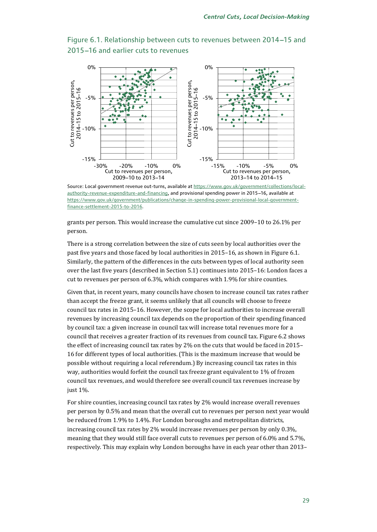-15% -10% -5% 0%

Cut to revenues per person, 2013–14 to 2014–15



Figure 6.1. Relationship between cuts to revenues between 2014-15 and 2015-16 and earlier cuts to revenues



-30% -20% -10% 0%

Cut to revenues per person, 2009–10 to 2013–14

grants per person. This would increase the cumulative cut since 2009–10 to 26.1% per person.

There is a strong correlation between the size of cuts seen by local authorities over the past five years and those faced by local authorities in 2015–16, as shown in Figure 6.1. Similarly, the pattern of the differences in the cuts between types of local authority seen over the last five years (described in Section 5.1) continues into 2015–16: London faces a cut to revenues per person of 6.3%, which compares with 1.9% for shire counties.

Given that, in recent years, many councils have chosen to increase council tax rates rather than accept the freeze grant, it seems unlikely that all councils will choose to freeze council tax rates in 2015–16. However, the scope for local authorities to increase overall revenues by increasing council tax depends on the proportion of their spending financed by council tax: a given increase in council tax will increase total revenues more for a council that receives a greater fraction of its revenues from council tax. Figure 6.2 shows the effect of increasing council tax rates by 2% on the cuts that would be faced in 2015– 16 for different types of local authorities. (This is the maximum increase that would be possible without requiring a local referendum.) By increasing council tax rates in this way, authorities would forfeit the council tax freeze grant equivalent to 1% of frozen council tax revenues, and would therefore see overall council tax revenues increase by just 1%.

For shire counties, increasing council tax rates by 2% would increase overall revenues per person by 0.5% and mean that the overall cut to revenues per person next year would be reduced from 1.9% to 1.4%. For London boroughs and metropolitan districts, increasing council tax rates by 2% would increase revenues per person by only 0.3%, meaning that they would still face overall cuts to revenues per person of 6.0% and 5.7%, respectively. This may explain why London boroughs have in each year other than 2013–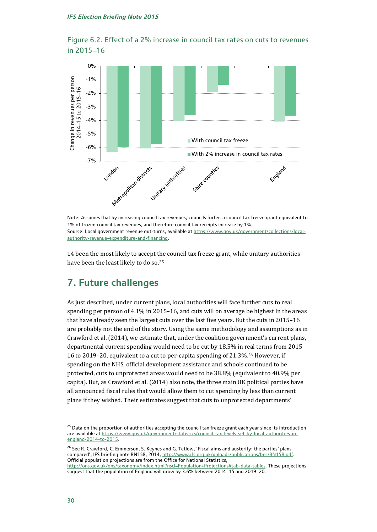





14 been the most likely to accept the council tax freeze grant, while unitary authorities have been the least likely to do so.<sup>[25](#page-30-0)</sup>

## **7. Future challenges**

As just described, under current plans, local authorities will face further cuts to real spending per person of 4.1% in 2015–16, and cuts will on average be highest in the areas that have already seen the largest cuts over the last five years. But the cuts in 2015–16 are probably not the end of the story. Using the same methodology and assumptions as in Crawford et al. (2014), we estimate that, under the coalition government's current plans, departmental current spending would need to be cut by 18.5% in real terms from 2015– 16 to 2019–20, equivalent to a cut to per-capita spending of 21.3%.[26](#page-30-1) However, if spending on the NHS, official development assistance and schools continued to be protected, cuts to unprotected areas would need to be 38.8% (equivalent to 40.9% per capita). But, as Crawford et al. (2014) also note, the three main UK political parties have all announced fiscal rules that would allow them to cut spending by less than current plans if they wished. Their estimates suggest that cuts to unprotected departments'

<span id="page-30-0"></span><sup>&</sup>lt;sup>25</sup> Data on the proportion of authorities accepting the council tax freeze grant each year since its introduction are available a[t https://www.gov.uk/government/statistics/council-tax-levels-set-by-local-authorities-in](https://www.gov.uk/government/statistics/council-tax-levels-set-by-local-authorities-in-england-2014-to-2015)[england-2014-to-2015.](https://www.gov.uk/government/statistics/council-tax-levels-set-by-local-authorities-in-england-2014-to-2015) 

<span id="page-30-1"></span><sup>&</sup>lt;sup>26</sup> See R. Crawford, C. Emmerson, S. Keynes and G. Tetlow, 'Fiscal aims and austerity: the parties' plans compared', IFS briefing note BN158, 2014[, http://www.ifs.org.uk/uploads/publications/bns/BN158.pdf.](http://www.ifs.org.uk/uploads/publications/bns/BN158.pdf) Official population projections are from the Office for National Statistics,

[http://ons.gov.uk/ons/taxonomy/index.html?nscl=Population+Projections#tab-data-tables.](http://ons.gov.uk/ons/taxonomy/index.html?nscl=Population+Projections%23tab-data-tables) These projections suggest that the population of England will grow by 3.6% between 2014-15 and 2019-20.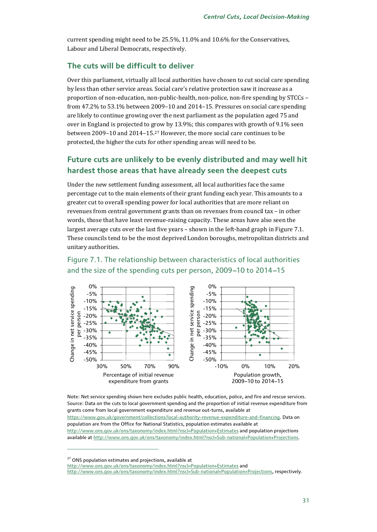current spending might need to be 25.5%, 11.0% and 10.6% for the Conservatives, Labour and Liberal Democrats, respectively.

### **The cuts will be difficult to deliver**

Over this parliament, virtually all local authorities have chosen to cut social care spending by less than other service areas. Social care's relative protection saw it increase as a proportion of non-education, non-public-health, non-police, non-fire spending by STCCs – from 47.2% to 53.1% between 2009–10 and 2014–15. Pressures on social care spending are likely to continue growing over the next parliament as the population aged 75 and over in England is projected to grow by 13.9%; this compares with growth of 9.1% seen between 2009–10 and 2014–15.[27](#page-31-0) However, the more social care continues to be protected, the higher the cuts for other spending areas will need to be.

## **Future cuts are unlikely to be evenly distributed and may well hit hardest those areas that have already seen the deepest cuts**

Under the new settlement funding assessment, all local authorities face the same percentage cut to the main elements of their grant funding each year. This amounts to a greater cut to overall spending power for local authorities that are more reliant on revenues from central government grants than on revenues from council tax – in other words, those that have least revenue-raising capacity. These areas have also seen the largest average cuts over the last five years – shown in the left-hand graph in Figure 7.1. These councils tend to be the most deprived London boroughs, metropolitan districts and unitary authorities.

#### 0% 0% Change in net service spending Change in net service spending Change in net service spending Change in net service spending -5% -5% -10% -10% -15% -15% person per person per person -20% -20% -25% -25% -30% -30% per der -35% -35% -40% -40%  $\bullet$ -45% -45% -50% -50% 30% 50% 70% 90% -10% 0% 10% 20% Percentage of initial revenue Population growth, expenditure from grants 2009–10 to 2014–15

## Figure 7.1. The relationship between characteristics of local authorities and the size of the spending cuts per person, 2009-10 to 2014-15

Note: Net service spending shown here excludes public health, education, police, and fire and rescue services. Source: Data on the cuts to local government spending and the proportion of initial revenue expenditure from grants come from local government expenditure and revenue out-turns, available at [https://www.gov.uk/government/collections/local-authority-revenue-expenditure-and-financing.](https://www.gov.uk/government/collections/local-authority-revenue-expenditure-and-financing) Data on population are from the Office for National Statistics, population estimates available at <http://www.ons.gov.uk/ons/taxonomy/index.html?nscl=Population+Estimates> and population projections available a[t http://www.ons.gov.uk/ons/taxonomy/index.html?nscl=Sub-national+Population+Projections.](http://www.ons.gov.uk/ons/taxonomy/index.html?nscl=Sub-national+Population+Projections)

<span id="page-31-0"></span><sup>27</sup> ONS population estimates and projections, available at

j

<http://www.ons.gov.uk/ons/taxonomy/index.html?nscl=Population+Estimates> and

[http://www.ons.gov.uk/ons/taxonomy/index.html?nscl=Sub-national+Population+Projections,](http://www.ons.gov.uk/ons/taxonomy/index.html?nscl=Sub-national+Population+Projections) respectively.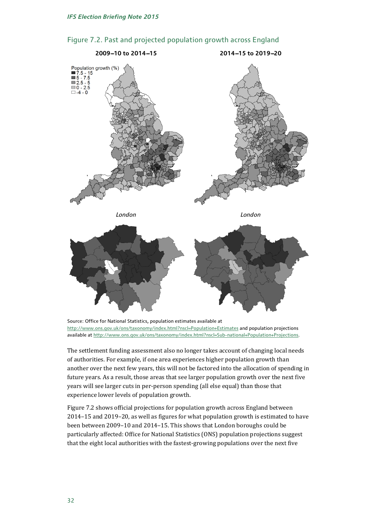

### Figure 7.2. Past and projected population growth across England

The settlement funding assessment also no longer takes account of changing local needs of authorities. For example, if one area experiences higher population growth than another over the next few years, this will not be factored into the allocation of spending in future years. As a result, those areas that see larger population growth over the next five years will see larger cuts in per-person spending (all else equal) than those that experience lower levels of population growth.

Figure 7.2 shows official projections for population growth across England between 2014–15 and 2019–20, as well as figures for what population growth is estimated to have been between 2009–10 and 2014–15. This shows that London boroughs could be particularly affected: Office for National Statistics (ONS) population projections suggest that the eight local authorities with the fastest-growing populations over the next five

Source: Office for National Statistics, population estimates available at <http://www.ons.gov.uk/ons/taxonomy/index.html?nscl=Population+Estimates> and population projections available a[t http://www.ons.gov.uk/ons/taxonomy/index.html?nscl=Sub-national+Population+Projections.](http://www.ons.gov.uk/ons/taxonomy/index.html?nscl=Sub-national+Population+Projections)